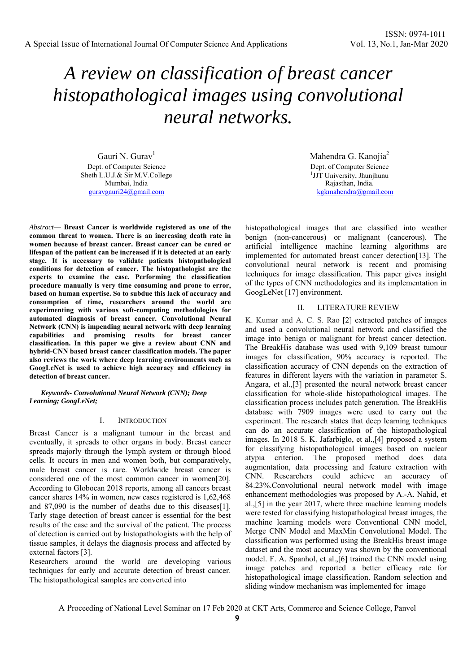# *A review on classification of breast cancer histopathological images using convolutional neural networks.*

Gauri N. Gurav<sup>1</sup> Dept. of Computer Science Sheth L.U.J.& Sir M.V.College Mumbai, India guravgauri24@gmail.com

*Abstract***— Breast Cancer is worldwide registered as one of the common threat to women. There is an increasing death rate in women because of breast cancer. Breast cancer can be cured or lifespan of the patient can be increased if it is detected at an early stage. It is necessary to validate patients histopathological conditions for detection of cancer. The histopathologist are the experts to examine the case. Performing the classification procedure manually is very time consuming and prone to error, based on human expertise. So to subdue this lack of accuracy and consumption of time, researchers around the world are experimenting with various soft-computing methodologies for automated diagnosis of breast cancer. Convolutional Neural Network (CNN) is impending neural network with deep learning capabilities and promising results for breast cancer classification. In this paper we give a review about CNN and hybrid-CNN based breast cancer classification models. The paper also reviews the work where deep learning environments such as GoogLeNet is used to achieve high accuracy and efficiency in detection of breast cancer.** 

*Keywords- Convolutional Neural Network (CNN); Deep Learning; GoogLeNet;* 

#### I. INTRODUCTION

Breast Cancer is a malignant tumour in the breast and eventually, it spreads to other organs in body. Breast cancer spreads majorly through the lymph system or through blood cells. It occurs in men and women both, but comparatively, male breast cancer is rare. Worldwide breast cancer is considered one of the most common cancer in women[20]. According to Globocan 2018 reports, among all cancers breast cancer shares 14% in women, new cases registered is 1,62,468 and 87,090 is the number of deaths due to this diseases[1]. Tarly stage detection of breast cancer is essential for the best results of the case and the survival of the patient. The process of detection is carried out by histopathologists with the help of tissue samples, it delays the diagnosis process and affected by external factors [3].

Researchers around the world are developing various techniques for early and accurate detection of breast cancer. The histopathological samples are converted into

Mahendra G. Kanojia<sup>2</sup> Dept. of Computer Science <sup>1</sup>JJT University, Jhunjhunu Rajasthan, India. kgkmahendra@gmail.com

histopathological images that are classified into weather benign (non-cancerous) or malignant (cancerous). The artificial intelligence machine learning algorithms are implemented for automated breast cancer detection[13]. The convolutional neural network is recent and promising techniques for image classification. This paper gives insight of the types of CNN methodologies and its implementation in GoogLeNet [17] environment.

### II. LITERATURE REVIEW

K. Kumar and A. C. S. Rao [2] extracted patches of images and used a convolutional neural network and classified the image into benign or malignant for breast cancer detection. The BreakHis database was used with 9,109 breast tumour images for classification, 90% accuracy is reported. The classification accuracy of CNN depends on the extraction of features in different layers with the variation in parameter S. Angara, et al.,[3] presented the neural network breast cancer classification for whole-slide histopathological images. The classification process includes patch generation. The BreakHis database with 7909 images were used to carry out the experiment. The research states that deep learning techniques can do an accurate classification of the histopathological images. In 2018 S. K. Jafarbiglo, et al.,[4] proposed a system for classifying histopathological images based on nuclear atypia criterion. The proposed method does data augmentation, data processing and feature extraction with CNN. Researchers could achieve an accuracy of 84.23%.Convolutional neural network model with image enhancement methodologies was proposed by A.-A. Nahid, et al.,[5] in the year 2017, where three machine learning models were tested for classifying histopathological breast images, the machine learning models were Conventional CNN model, Merge CNN Model and MaxMin Convolutional Model. The classification was performed using the BreakHis breast image dataset and the most accuracy was shown by the conventional model. F. A. Spanhol, et al.,[6] trained the CNN model using image patches and reported a better efficacy rate for histopathological image classification. Random selection and sliding window mechanism was implemented for image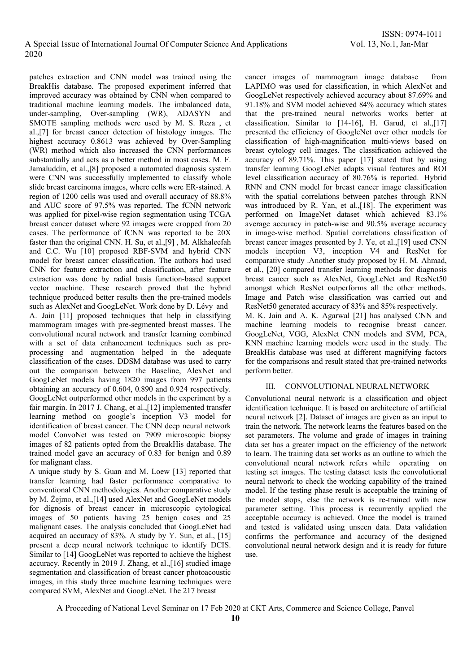patches extraction and CNN model was trained using the BreakHis database. The proposed experiment inferred that improved accuracy was obtained by CNN when compared to traditional machine learning models. The imbalanced data, under-sampling, Over-sampling (WR), ADASYN and SMOTE sampling methods were used by M. S. Reza , et al.,[7] for breast cancer detection of histology images. The highest accuracy 0.8613 was achieved by Over-Sampling (WR) method which also increased the CNN performances substantially and acts as a better method in most cases. M. F. Jamaluddin, et al.,[8] proposed a automated diagnosis system were CNN was successfully implemented to classify whole slide breast carcinoma images, where cells were ER-stained. A region of 1200 cells was used and overall accuracy of 88.8% and AUC score of 97.5% was reported. The fCNN network was applied for pixel-wise region segmentation using TCGA breast cancer dataset where 92 images were cropped from 20 cases. The performance of fCNN was reported to be 20X faster than the original CNN. H. Su, et al.,[9] , M. Alkhaleefah and C.C. Wu [10] proposed RBF-SVM and hybrid CNN model for breast cancer classification. The authors had used CNN for feature extraction and classification, after feature extraction was done by radial basis function-based support vector machine. These research proved that the hybrid technique produced better results then the pre-trained models such as AlexNet and GoogLeNet. Work done by D. Lévy and A. Jain [11] proposed techniques that help in classifying mammogram images with pre-segmented breast masses. The convolutional neural network and transfer learning combined with a set of data enhancement techniques such as preprocessing and augmentation helped in the adequate classification of the cases. DDSM database was used to carry out the comparison between the Baseline, AlexNet and GoogLeNet models having 1820 images from 997 patients obtaining an accuracy of 0.604, 0.890 and 0.924 respectively. GoogLeNet outperformed other models in the experiment by a fair margin. In 2017 J. Chang, et al.,[12] implemented transfer learning method on google's inception V3 model for identification of breast cancer. The CNN deep neural network model ConvoNet was tested on 7909 microscopic biopsy images of 82 patients opted from the BreakHis database. The trained model gave an accuracy of 0.83 for benign and 0.89 for malignant class.

A unique study by S. Guan and M. Loew [13] reported that transfer learning had faster performance comparative to conventional CNN methodologies. Another comparative study by M. Żejmo, et al.,[14] used AlexNet and GoogLeNet models for dignosis of breast cancer in microscopic cytological images of 50 patients having 25 benign cases and 25 malignant cases. The analysis concluded that GoogLeNet had acquired an accuracy of 83%. A study by Y. Sun, et al., [15] present a deep neural network technique to identify DCIS. Similar to [14] GoogLeNet was reported to achieve the highest accuracy. Recently in 2019 J. Zhang, et al.,[16] studied image segmentation and classification of breast cancer photoacoustic images, in this study three machine learning techniques were compared SVM, AlexNet and GoogLeNet. The 217 breast

cancer images of mammogram image database from LAPIMO was used for classification, in which AlexNet and GoogLeNet respectively achieved accuracy about 87.69% and 91.18% and SVM model achieved 84% accuracy which states that the pre-trained neural networks works better at classification. Similar to [14-16], H. Garud, et al.,[17] presented the efficiency of GoogleNet over other models for classification of high-magnification multi-views based on breast cytology cell images. The classification achieved the accuracy of 89.71%. This paper [17] stated that by using transfer learning GoogLeNet adapts visual features and ROI level classification accuracy of 80.76% is reported. Hybrid RNN and CNN model for breast cancer image classification with the spatial correlations between patches through RNN was introduced by R. Yan, et al.,[18]. The experiment was performed on ImageNet dataset which achieved 83.1% average accuracy in patch-wise and 90.5% average accuracy in image-wise method. Spatial correlations classification of breast cancer images presented by J. Ye, et al.,[19] used CNN models inception  $V3$ , inception  $V4$  and ResNet for comparative study .Another study proposed by H. M. Ahmad, et al., [20] compared transfer learning methods for diagnosis breast cancer such as AlexNet, GoogLeNet and ResNet50 amongst which ResNet outperforms all the other methods. Image and Patch wise classification was carried out and ResNet50 generated accuracy of 83% and 85% respectively. M. K. Jain and A. K. Agarwal [21] has analysed CNN and machine learning models to recognise breast cancer. GoogLeNet, VGG, AlexNet CNN models and SVM, PCA, KNN machine learning models were used in the study. The BreakHis database was used at different magnifying factors

## III. CONVOLUTIONAL NEURAL NETWORK

for the comparisons and result stated that pre-trained networks

perform better.

Convolutional neural network is a classification and object identification technique. It is based on architecture of artificial neural network [2]. Dataset of images are given as an input to train the network. The network learns the features based on the set parameters. The volume and grade of images in training data set has a greater impact on the efficiency of the network to learn. The training data set works as an outline to which the convolutional neural network refers while operating on testing set images. The testing dataset tests the convolutional neural network to check the working capability of the trained model. If the testing phase result is acceptable the training of the model stops, else the network is re-trained with new parameter setting. This process is recurrently applied the acceptable accuracy is achieved. Once the model is trained and tested is validated using unseen data. Data validation confirms the performance and accuracy of the designed convolutional neural network design and it is ready for future use.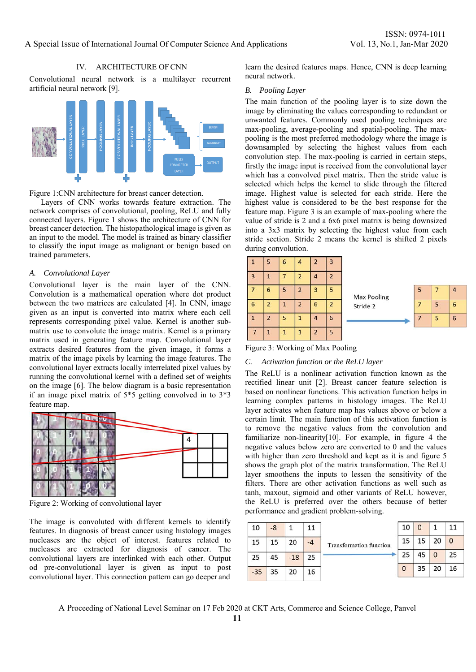## IV. ARCHITECTURE OF CNN

Convolutional neural network is a multilayer recurrent artificial neural network [9].



Figure 1:CNN architecture for breast cancer detection.

Layers of CNN works towards feature extraction. The network comprises of convolutional, pooling, ReLU and fully connected layers. Figure 1 shows the architecture of CNN for breast cancer detection. The histopathological image is given as an input to the model. The model is trained as binary classifier to classify the input image as malignant or benign based on trained parameters.

#### *A. Convolutional Layer*

Convolutional layer is the main layer of the CNN. Convolution is a mathematical operation where dot product between the two matrices are calculated [4]. In CNN, image given as an input is converted into matrix where each cell represents corresponding pixel value. Kernel is another submatrix use to convolute the image matrix. Kernel is a primary matrix used in generating feature map. Convolutional layer extracts desired features from the given image, it forms a matrix of the image pixels by learning the image features. The convolutional layer extracts locally interrelated pixel values by running the convolutional kernel with a defined set of weights on the image [6]. The below diagram is a basic representation if an image pixel matrix of 5\*5 getting convolved in to 3\*3 feature map.



Figure 2: Working of convolutional layer

The image is convoluted with different kernels to identify features. In diagnosis of breast cancer using histology images nucleases are the object of interest. features related to nucleases are extracted for diagnosis of cancer. The convolutional layers are interlinked with each other. Output od pre-convolutional layer is given as input to post convolutional layer. This connection pattern can go deeper and learn the desired features maps. Hence, CNN is deep learning neural network.

### *B. Pooling Layer*

The main function of the pooling layer is to size down the image by eliminating the values corresponding to redundant or unwanted features. Commonly used pooling techniques are max-pooling, average-pooling and spatial-pooling. The maxpooling is the most preferred methodology where the image is downsampled by selecting the highest values from each convolution step. The max-pooling is carried in certain steps, firstly the image input is received from the convolutional layer which has a convolved pixel matrix. Then the stride value is selected which helps the kernel to slide through the filtered image. Highest value is selected for each stride. Here the highest value is considered to be the best response for the feature map. Figure 3 is an example of max-pooling where the value of stride is 2 and a 6x6 pixel matrix is being downsized into a 3x3 matrix by selecting the highest value from each stride section. Stride 2 means the kernel is shifted 2 pixels during convolution.

| $\mathbf{1}$   | 5              | $6\phantom{1}6$ | $\overline{4}$          | $\overline{2}$          | $\overline{\mathbf{3}}$ |                          |
|----------------|----------------|-----------------|-------------------------|-------------------------|-------------------------|--------------------------|
| $\overline{3}$ | 1              |                 | $\overline{2}$          | 4                       | $\overline{2}$          |                          |
|                | 6              | 5               | $\overline{\mathbf{c}}$ | 3                       | 5                       |                          |
| $\sqrt{6}$     | $\overline{2}$ | 1               | $\overline{c}$          | $6\phantom{1}$          | $\overline{2}$          | $\overline{\phantom{a}}$ |
| $\mathbf{1}$   | $\overline{2}$ | 5               | $\mathbf{1}$            | $\overline{a}$          | 6                       |                          |
| $\overline{7}$ | $\mathbf{1}$   | 1               | $\mathbf{1}$            | $\overline{\mathbf{c}}$ | 5                       |                          |



Figure 3: Working of Max Pooling

## *C. Activation function or the ReLU layer*

The ReLU is a nonlinear activation function known as the rectified linear unit [2]. Breast cancer feature selection is based on nonlinear functions. This activation function helps in learning complex patterns in histology images. The ReLU layer activates when feature map has values above or below a certain limit. The main function of this activation function is to remove the negative values from the convolution and familiarize non-linearity[10]. For example, in figure 4 the negative values below zero are converted to 0 and the values with higher than zero threshold and kept as it is and figure 5 shows the graph plot of the matrix transformation. The ReLU layer smoothens the inputs to lessen the sensitivity of the filters. There are other activation functions as well such as tanh, maxout, sigmoid and other variants of ReLU however, the ReLU is preferred over the others because of better performance and gradient problem-solving.

| 10    | $-8$ | 1     | 11   |                                | 10       | $\Omega$ |              | 11       |
|-------|------|-------|------|--------------------------------|----------|----------|--------------|----------|
| 15    | 15   | 20    | $-4$ | <b>Transformation function</b> | 15       | 15       | 20           | $\Omega$ |
| 25    | 45   | $-18$ | 25   |                                | 25       | 45       | $\mathbf{0}$ | 25       |
| $-35$ | 35   | 20    | 16   |                                | $\Omega$ | 35       | 20           | 16       |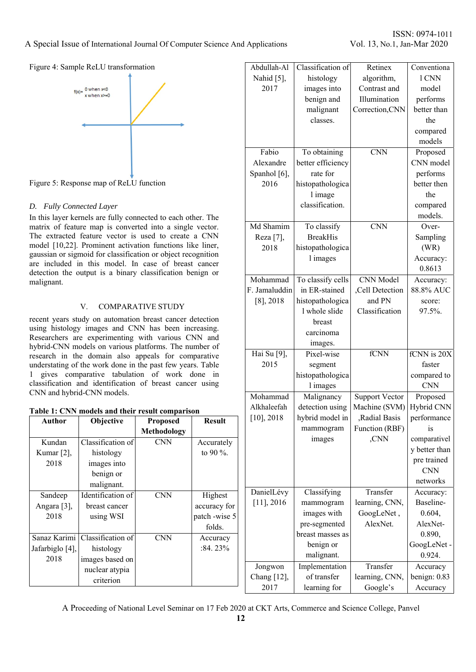# ISSN: 0974-1011

## Figure 4: Sample ReLU transformation



Figure 5: Response map of ReLU function

## *D. Fully Connected Layer*

In this layer kernels are fully connected to each other. The matrix of feature map is converted into a single vector. The extracted feature vector is used to create a CNN model [10,22]. Prominent activation functions like liner, gaussian or sigmoid for classification or object recognition are included in this model. In case of breast cancer detection the output is a binary classification benign or malignant.

## V. COMPARATIVE STUDY

recent years study on automation breast cancer detection using histology images and CNN has been increasing. Researchers are experimenting with various CNN and hybrid-CNN models on various platforms. The number of research in the domain also appeals for comparative understating of the work done in the past few years. Table 1 gives comparative tabulation of work done in classification and identification of breast cancer using CNN and hybrid-CNN models.

|  |  |  | Table 1: CNN models and their result comparison |
|--|--|--|-------------------------------------------------|
|  |  |  |                                                 |

| Table 1: CNN models and their result comparison |                   |                    | AINHAICCIAII  | <b>UCILCITUM</b> USING | <b>MACHING</b> (SVIVI) <b>H</b> ybrid Civin |                |                |
|-------------------------------------------------|-------------------|--------------------|---------------|------------------------|---------------------------------------------|----------------|----------------|
| Author                                          | Objective         | <b>Proposed</b>    | <b>Result</b> | $[10]$ , 2018          | hybrid model in                             | Radial Basis   | performance    |
|                                                 |                   | <b>Methodology</b> |               |                        | mammogram                                   | Function (RBF) | 1S             |
| Kundan                                          | Classification of | <b>CNN</b>         | Accurately    |                        | images                                      | ,CNN           | comparativel   |
| Kumar $[2]$ ,                                   | histology         |                    | to 90 $\%$ .  |                        |                                             |                | y better than  |
| 2018                                            | images into       |                    |               |                        |                                             |                | pre trained    |
|                                                 | benign or         |                    |               |                        |                                             |                | <b>CNN</b>     |
|                                                 | malignant.        |                    |               |                        |                                             |                | networks       |
| Sandeep                                         | Identification of | <b>CNN</b>         | Highest       | DanielLévy             | Classifying                                 | Transfer       | Accuracy:      |
| Angara [3],                                     | breast cancer     |                    | accuracy for  | $[11]$ , 2016          | mammogram                                   | learning, CNN, | Baseline-      |
| 2018                                            | using WSI         |                    | patch -wise 5 |                        | images with                                 | GoogLeNet,     | 0.604,         |
|                                                 |                   |                    | folds.        |                        | pre-segmented                               | AlexNet.       | AlexNet-       |
| Sanaz Karimi                                    | Classification of | <b>CNN</b>         | Accuracy      |                        | breast masses as                            |                | 0.890,         |
| Jafarbiglo [4],                                 | histology         |                    | $:84.23\%$    |                        | benign or                                   |                | GoogLeNet -    |
| 2018                                            | images based on   |                    |               |                        | malignant.                                  |                | 0.924.         |
|                                                 | nuclear atypia    |                    |               | Jongwon                | Implementation                              | Transfer       | Accuracy       |
|                                                 | criterion         |                    |               | Chang $[12]$ ,         | of transfer                                 | learning, CNN, | benign: $0.83$ |
|                                                 |                   |                    |               | 2017                   | learning for                                | Google's       | Accuracy       |

| Abdullah-Al   | Classification of | Retinex                 | Conventiona   |
|---------------|-------------------|-------------------------|---------------|
| Nahid [5],    | histology         | algorithm,              | 1 CNN         |
| 2017          | images into       | Contrast and            | model         |
|               | benign and        | Illumination            | performs      |
|               | malignant         | Correction, CNN         | better than   |
|               | classes.          |                         | the           |
|               |                   |                         | compared      |
|               |                   |                         | models        |
| Fabio         | To obtaining      | $\overline{\text{CNN}}$ | Proposed      |
| Alexandre     | better efficiency |                         | CNN model     |
| Spanhol [6],  | rate for          |                         | performs      |
| 2016          | histopathologica  |                         | better then   |
|               | l image           |                         | the           |
|               | classification.   |                         | compared      |
|               |                   |                         | models.       |
| Md Shamim     | To classify       | <b>CNN</b>              | Over-         |
| Reza [7],     | <b>BreakHis</b>   |                         | Sampling      |
| 2018          | histopathologica  |                         | (WR)          |
|               | 1 images          |                         | Accuracy:     |
|               |                   |                         | 0.8613        |
| Mohammad      | To classify cells | <b>CNN</b> Model        | Accuracy:     |
| F. Jamaluddin | in ER-stained     | ,Cell Detection         | 88.8% AUC     |
| $[8]$ , 2018  | histopathologica  | and PN                  | score:        |
|               | l whole slide     | Classification          | 97.5%.        |
|               | breast            |                         |               |
|               | carcinoma         |                         |               |
|               | images.           |                         |               |
| Hai Su [9],   | Pixel-wise        | fCNN                    | fCNN is 20X   |
| 2015          | segment           |                         | faster        |
|               | histopathologica  |                         | compared to   |
|               | 1 images          |                         | <b>CNN</b>    |
| Mohammad      | Malignancy        | <b>Support Vector</b>   | Proposed      |
| Alkhaleefah   | detection using   | Machine (SVM)           | Hybrid CNN    |
| $[10]$ , 2018 | hybrid model in   | Radial Basis            | performance   |
|               | mammogram         | Function (RBF)          | is            |
|               | images            | ,CNN                    | comparativel  |
|               |                   |                         | y better than |
|               |                   |                         | pre trained   |
|               |                   |                         | <b>CNN</b>    |
|               |                   |                         | networks      |
| DanielLévy    | Classifying       | Transfer                | Accuracy:     |
| $[11]$ , 2016 | mammogram         | learning, CNN,          | Baseline-     |
|               | images with       | GoogLeNet,              | 0.604,        |
|               | pre-segmented     | AlexNet.                | AlexNet-      |
|               | breast masses as  |                         | 0.890,        |
|               | benign or         |                         | GoogLeNet -   |
|               | malignant.        |                         | 0.924.        |
| Jongwon       | Implementation    | Transfer                | Accuracy      |
| Chang [12],   | of transfer       | learning, CNN,          | benign: 0.83  |
|               |                   |                         |               |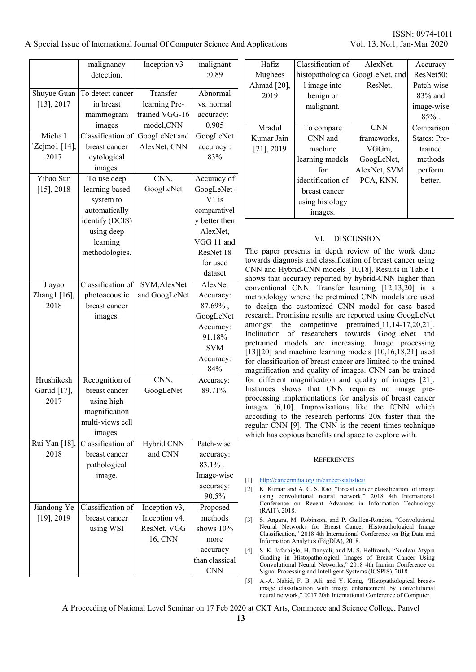|                       | malignancy<br>detection.      | Inception v3          | malignant<br>:0.89      |
|-----------------------|-------------------------------|-----------------------|-------------------------|
| Shuyue Guan           | To detect cancer              | Transfer              | Abnormal                |
| $[13]$ , 2017         | in breast                     | learning Pre-         | vs. normal              |
|                       | mammogram                     | trained VGG-16        | accuracy:               |
|                       | images                        | model, CNN            | 0.905                   |
| Micha l               | Classification of             | GoogLeNet and         | GoogLeNet               |
| 'Zejmo1 [14],         | breast cancer                 | AlexNet, CNN          | accuracy:               |
| 2017                  | cytological                   |                       | 83%                     |
|                       | images.                       |                       |                         |
| Yibao Sun             | To use deep                   | CNN,                  | Accuracy of             |
| $[15]$ , 2018         | learning based                | GoogLeNet             | GoogLeNet-              |
|                       | system to                     |                       | $V1$ is                 |
|                       | automatically                 |                       | comparativel            |
|                       | identify (DCIS)               |                       | y better then           |
|                       | using deep                    |                       | AlexNet,                |
|                       | learning                      |                       | VGG 11 and              |
|                       | methodologies.                |                       | ResNet 18               |
|                       |                               |                       | for used                |
|                       |                               |                       | dataset                 |
| Jiayao                | Classification of             | SVM, AlexNet          | AlexNet                 |
| Zhang1 [16],          | photoacoustic                 | and GoogLeNet         | Accuracy:               |
| 2018                  | breast cancer                 |                       | $87.69\%$ ,             |
|                       | images.                       |                       | GoogLeNet               |
|                       |                               |                       | Accuracy:               |
|                       |                               |                       | 91.18%                  |
|                       |                               |                       | <b>SVM</b>              |
|                       |                               |                       | Accuracy:               |
|                       |                               |                       | 84%                     |
| Hrushikesh            | Recognition of                | CNN,                  | Accuracy:               |
| Garud [17],           | breast cancer                 | GoogLeNet             | 89.71%.                 |
| 2017                  | using high                    |                       |                         |
|                       | magnification                 |                       |                         |
|                       | multi-views cell              |                       |                         |
|                       | images.                       |                       |                         |
| Rui Yan [18],<br>2018 | Classification of             | Hybrid CNN<br>and CNN | Patch-wise              |
|                       | breast cancer<br>pathological |                       | accuracy:<br>$83.1\%$ . |
|                       |                               |                       |                         |
|                       | image.                        |                       | Image-wise<br>accuracy: |
|                       |                               |                       | 90.5%                   |
| Jiandong Ye           | Classification of             | Inception v3,         | Proposed                |
| $[19]$ , 2019         | breast cancer                 | Inception v4,         | methods                 |
|                       | using WSI                     | ResNet, VGG           | shows 10%               |
|                       |                               | 16, CNN               | more                    |
|                       |                               |                       | accuracy                |
|                       |                               |                       | than classical          |
|                       |                               |                       | <b>CNN</b>              |
|                       |                               |                       |                         |

ISSN: 0974-1011

| Hafiz         | Classification of | AlexNet,       | Accuracy            |
|---------------|-------------------|----------------|---------------------|
| Mughees       | histopathologica  | GoogLeNet, and | ResNet50:           |
| Ahmad [20],   | 1 image into      | ResNet.        | Patch-wise          |
| 2019          | benign or         |                | $83\%$ and          |
|               | malignant.        |                | image-wise          |
|               |                   |                | $85\%$ .            |
| Mradul        | To compare        | <b>CNN</b>     | Comparison          |
| Kumar Jain    | CNN and           | frameworks.    | <b>States: Pre-</b> |
| $[21]$ , 2019 | machine           | VGGm.          | trained             |
|               | learning models   | GoogLeNet,     | methods             |
|               | for               | AlexNet, SVM   | perform             |
|               | identification of | PCA, KNN.      | better.             |
|               | breast cancer     |                |                     |
|               | using histology   |                |                     |
|               | images.           |                |                     |

# VI. DISCUSSION

The paper presents in depth review of the work done towards diagnosis and classification of breast cancer using CNN and Hybrid-CNN models [10,18]. Results in Table 1 shows that accuracy reported by hybrid-CNN higher than conventional CNN. Transfer learning [12,13,20] is a methodology where the pretrained CNN models are used to design the customized CNN model for case based research. Promising results are reported using GoogLeNet amongst the competitive pretrained[11,14-17,20,21]. Inclination of researchers towards GoogLeNet and pretrained models are increasing. Image processing [13][20] and machine learning models [10,16,18,21] used for classification of breast cancer are limited to the trained magnification and quality of images. CNN can be trained for different magnification and quality of images [21]. Instances shows that CNN requires no image preprocessing implementations for analysis of breast cancer images [6,10]. Improvisations like the fCNN which according to the research performs 20x faster than the regular CNN [9]. The CNN is the recent times technique which has copious benefits and space to explore with.

### **REFERENCES**

- [1] http://cancerindia.org.in/cancer-statistics/
- [2] K. Kumar and A. C. S. Rao, "Breast cancer classification of image using convolutional neural network," 2018 4th International Conference on Recent Advances in Information Technology (RAIT), 2018.
- [3] S. Angara, M. Robinson, and P. Guillen-Rondon, "Convolutional Neural Networks for Breast Cancer Histopathological Image Classification," 2018 4th International Conference on Big Data and Information Analytics (BigDIA), 2018.
- [4] S. K. Jafarbiglo, H. Danyali, and M. S. Helfroush, "Nuclear Atypia Grading in Histopathological Images of Breast Cancer Using Convolutional Neural Networks," 2018 4th Iranian Conference on Signal Processing and Intelligent Systems (ICSPIS), 2018.
- [5] A.-A. Nahid, F. B. Ali, and Y. Kong, "Histopathological breastimage classification with image enhancement by convolutional neural network," 2017 20th International Conference of Computer